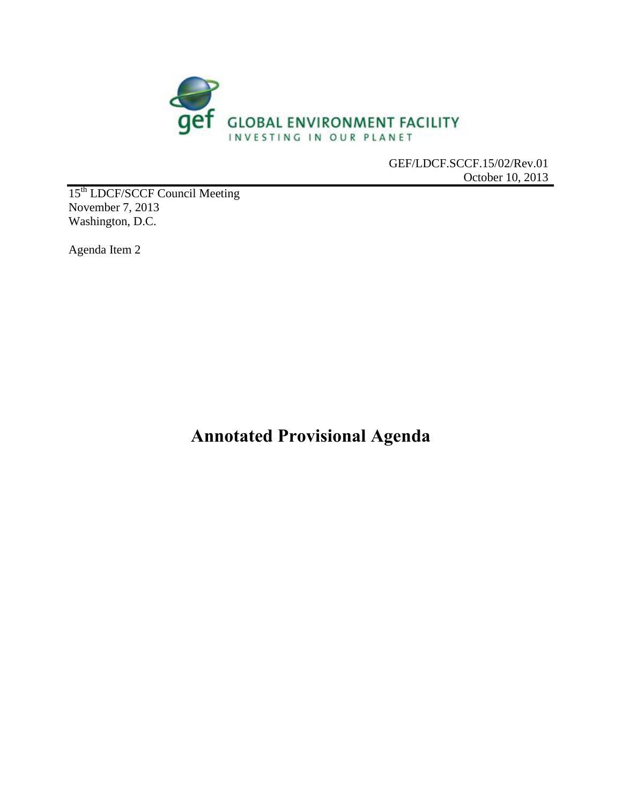

October 10, 2013

15<sup>th</sup> LDCF/SCCF Council Meeting November 7, 2013 Washington, D.C.

Agenda Item 2

**Annotated Provisional Agenda**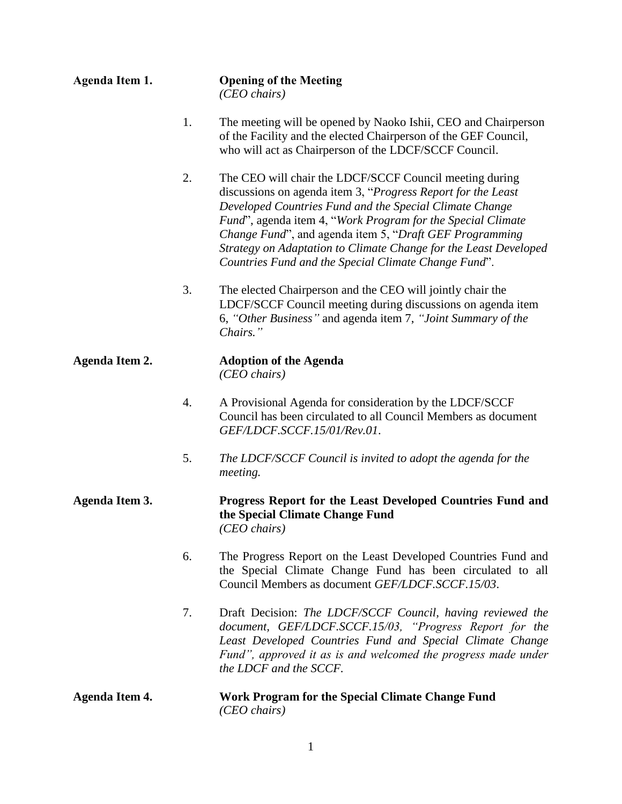| Agenda Item 1.        |    | <b>Opening of the Meeting</b><br>$(CEO \, chairs)$                                                                                                                                                                                                                                                                                                                                                                                       |
|-----------------------|----|------------------------------------------------------------------------------------------------------------------------------------------------------------------------------------------------------------------------------------------------------------------------------------------------------------------------------------------------------------------------------------------------------------------------------------------|
|                       | 1. | The meeting will be opened by Naoko Ishii, CEO and Chairperson<br>of the Facility and the elected Chairperson of the GEF Council,<br>who will act as Chairperson of the LDCF/SCCF Council.                                                                                                                                                                                                                                               |
|                       | 2. | The CEO will chair the LDCF/SCCF Council meeting during<br>discussions on agenda item 3, "Progress Report for the Least<br>Developed Countries Fund and the Special Climate Change<br>Fund", agenda item 4, "Work Program for the Special Climate<br>Change Fund", and agenda item 5, "Draft GEF Programming<br>Strategy on Adaptation to Climate Change for the Least Developed<br>Countries Fund and the Special Climate Change Fund". |
|                       | 3. | The elected Chairperson and the CEO will jointly chair the<br>LDCF/SCCF Council meeting during discussions on agenda item<br>6, "Other Business" and agenda item 7, "Joint Summary of the<br>Chairs."                                                                                                                                                                                                                                    |
| Agenda Item 2.        |    | <b>Adoption of the Agenda</b><br>$(CEO \, chairs)$                                                                                                                                                                                                                                                                                                                                                                                       |
|                       | 4. | A Provisional Agenda for consideration by the LDCF/SCCF<br>Council has been circulated to all Council Members as document<br>GEF/LDCF.SCCF.15/01/Rev.01.                                                                                                                                                                                                                                                                                 |
|                       | 5. | The LDCF/SCCF Council is invited to adopt the agenda for the<br>meeting.                                                                                                                                                                                                                                                                                                                                                                 |
| <b>Agenda Item 3.</b> |    | Progress Report for the Least Developed Countries Fund and<br>the Special Climate Change Fund<br>$(CEO \; chairs)$                                                                                                                                                                                                                                                                                                                       |
|                       | 6. | The Progress Report on the Least Developed Countries Fund and<br>the Special Climate Change Fund has been circulated to all<br>Council Members as document <i>GEF/LDCF.SCCF.15/03</i> .                                                                                                                                                                                                                                                  |
|                       | 7. | Draft Decision: The LDCF/SCCF Council, having reviewed the<br>document, GEF/LDCF.SCCF.15/03, "Progress Report for the<br>Least Developed Countries Fund and Special Climate Change<br>Fund", approved it as is and welcomed the progress made under<br>the LDCF and the SCCF.                                                                                                                                                            |
| <b>Agenda Item 4.</b> |    | Work Program for the Special Climate Change Fund<br>$(CEO \, chairs)$                                                                                                                                                                                                                                                                                                                                                                    |